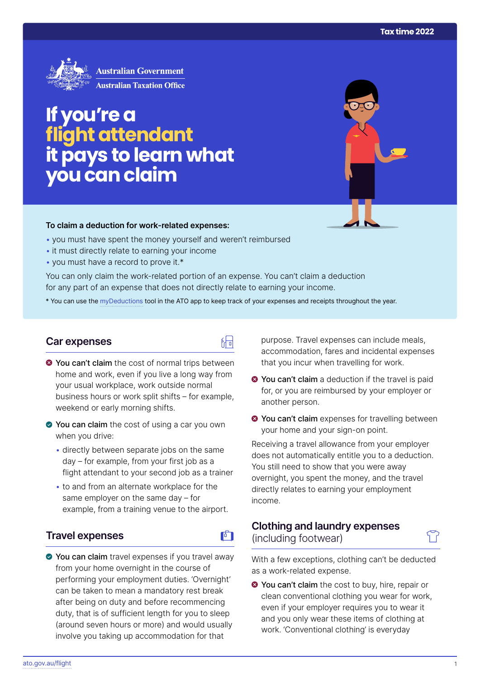

# **If you're a flight attendant it pays to learn what you can claim**

#### **To claim a deduction for work‑related expenses:**

- you must have spent the money yourself and weren't reimbursed
- it must directly relate to earning your income
- you must have a record to prove it.\*

You can only claim the work-related portion of an expense. You can't claim a deduction for any part of an expense that does not directly relate to earning your income.

\* You can use the [myDeductions](https://ato.gov.au/mydeductions) tool in the ATO app to keep track of your expenses and receipts throughout the year.

品

### **Car expenses**

- $\bullet$  You can't claim the cost of normal trips between home and work, even if you live a long way from your usual workplace, work outside normal business hours or work split shifts – for example, weekend or early morning shifts.
- ◆ You can claim the cost of using a car you own when you drive:
	- directly between separate jobs on the same day – for example, from your first job as a flight attendant to your second job as a trainer
	- to and from an alternate workplace for the same employer on the same day – for example, from a training venue to the airport.

## **Travel expenses**

◆ You can claim travel expenses if you travel away from your home overnight in the course of performing your employment duties. 'Overnight' can be taken to mean a mandatory rest break after being on duty and before recommencing duty, that is of sufficient length for you to sleep (around seven hours or more) and would usually involve you taking up accommodation for that

purpose. Travel expenses can include meals, accommodation, fares and incidental expenses that you incur when travelling for work.

- **◆ You can't claim** a deduction if the travel is paid for, or you are reimbursed by your employer or another person.
- $\bullet$  **You can't claim** expenses for travelling between your home and your sign-on point.

Receiving a travel allowance from your employer does not automatically entitle you to a deduction. You still need to show that you were away overnight, you spent the money, and the travel directly relates to earning your employment income.

# **Clothing and laundry expenses**  (including footwear)

With a few exceptions, clothing can't be deducted as a work-related expense.

**O** You can't claim the cost to buy, hire, repair or clean conventional clothing you wear for work, even if your employer requires you to wear it and you only wear these items of clothing at work. 'Conventional clothing' is everyday

**FT**